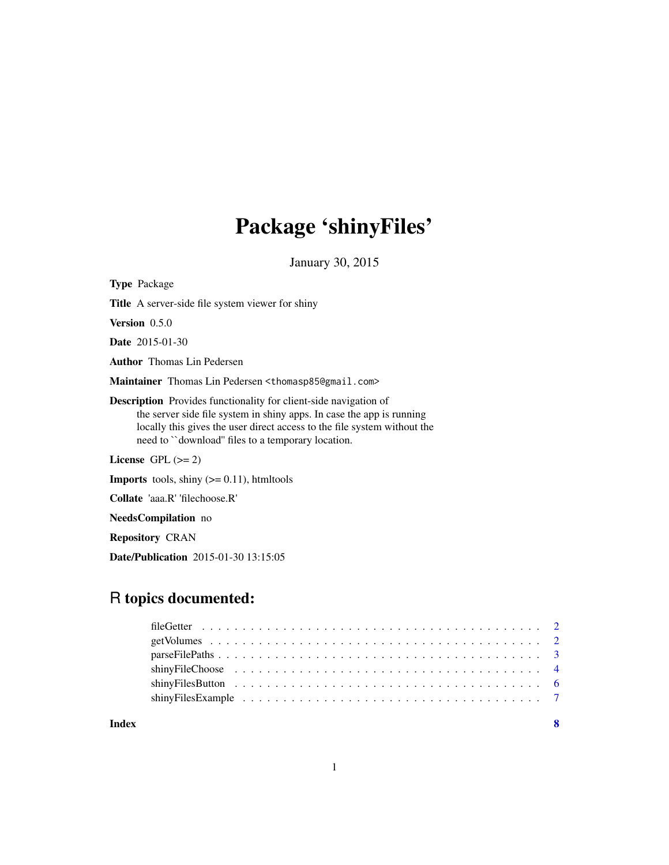# Package 'shinyFiles'

January 30, 2015

<span id="page-0-0"></span>

| <b>Type Package</b>                                                                                                                                                                                                                                                               |
|-----------------------------------------------------------------------------------------------------------------------------------------------------------------------------------------------------------------------------------------------------------------------------------|
| <b>Title</b> A server-side file system viewer for shiny                                                                                                                                                                                                                           |
| <b>Version</b> $0.5.0$                                                                                                                                                                                                                                                            |
| <b>Date</b> 2015-01-30                                                                                                                                                                                                                                                            |
| <b>Author</b> Thomas Lin Pedersen                                                                                                                                                                                                                                                 |
| Maintainer Thomas Lin Pedersen <thomasp85@gmail.com></thomasp85@gmail.com>                                                                                                                                                                                                        |
| <b>Description</b> Provides functionality for client-side navigation of<br>the server side file system in shiny apps. In case the app is running<br>locally this gives the user direct access to the file system without the<br>need to "download" files to a temporary location. |
| License $GPL \, (>= 2)$                                                                                                                                                                                                                                                           |
| <b>Imports</b> tools, shiny $(>= 0.11)$ , htmltools                                                                                                                                                                                                                               |
| <b>Collate</b> 'aaa.R' 'filechoose.R'                                                                                                                                                                                                                                             |

NeedsCompilation no

Repository CRAN

Date/Publication 2015-01-30 13:15:05

# R topics documented:

| shiny FileChoose $\ldots \ldots \ldots \ldots \ldots \ldots \ldots \ldots \ldots \ldots \ldots \ldots$    |  |
|-----------------------------------------------------------------------------------------------------------|--|
|                                                                                                           |  |
| shiny Files Example $\ldots \ldots \ldots \ldots \ldots \ldots \ldots \ldots \ldots \ldots \ldots \ldots$ |  |
|                                                                                                           |  |

**Index** [8](#page-7-0) **8**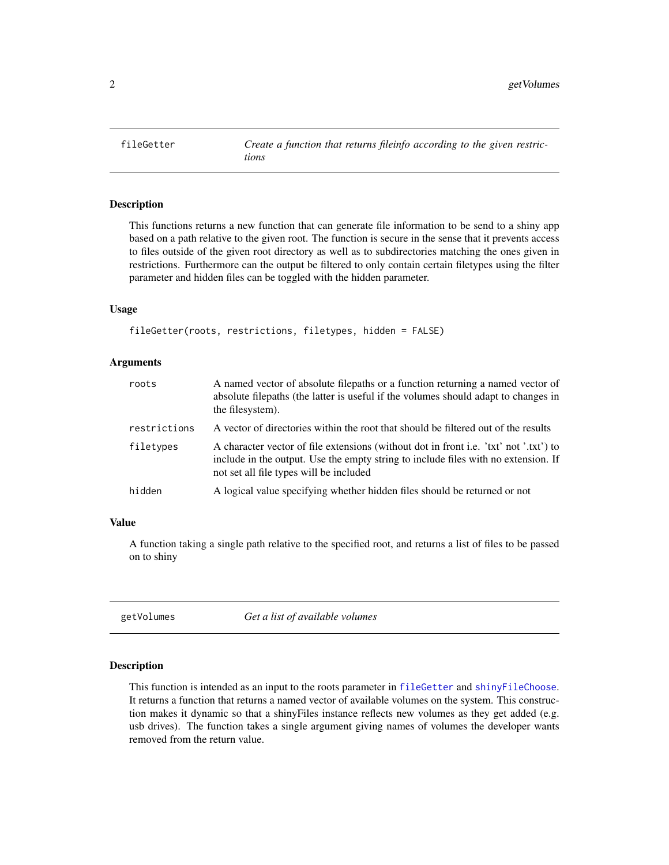<span id="page-1-1"></span><span id="page-1-0"></span>

#### Description

This functions returns a new function that can generate file information to be send to a shiny app based on a path relative to the given root. The function is secure in the sense that it prevents access to files outside of the given root directory as well as to subdirectories matching the ones given in restrictions. Furthermore can the output be filtered to only contain certain filetypes using the filter parameter and hidden files can be toggled with the hidden parameter.

# Usage

```
fileGetter(roots, restrictions, filetypes, hidden = FALSE)
```
#### Arguments

| roots        | A named vector of absolute filepaths or a function returning a named vector of<br>absolute filepaths (the latter is useful if the volumes should adapt to changes in<br>the filesystem).                               |
|--------------|------------------------------------------------------------------------------------------------------------------------------------------------------------------------------------------------------------------------|
| restrictions | A vector of directories within the root that should be filtered out of the results                                                                                                                                     |
| filetypes    | A character vector of file extensions (without dot in front i.e. 'txt' not '.txt') to<br>include in the output. Use the empty string to include files with no extension. If<br>not set all file types will be included |
| hidden       | A logical value specifying whether hidden files should be returned or not                                                                                                                                              |
|              |                                                                                                                                                                                                                        |

#### Value

A function taking a single path relative to the specified root, and returns a list of files to be passed on to shiny

getVolumes *Get a list of available volumes*

#### Description

This function is intended as an input to the roots parameter in [fileGetter](#page-1-1) and [shinyFileChoose](#page-3-1). It returns a function that returns a named vector of available volumes on the system. This construction makes it dynamic so that a shinyFiles instance reflects new volumes as they get added (e.g. usb drives). The function takes a single argument giving names of volumes the developer wants removed from the return value.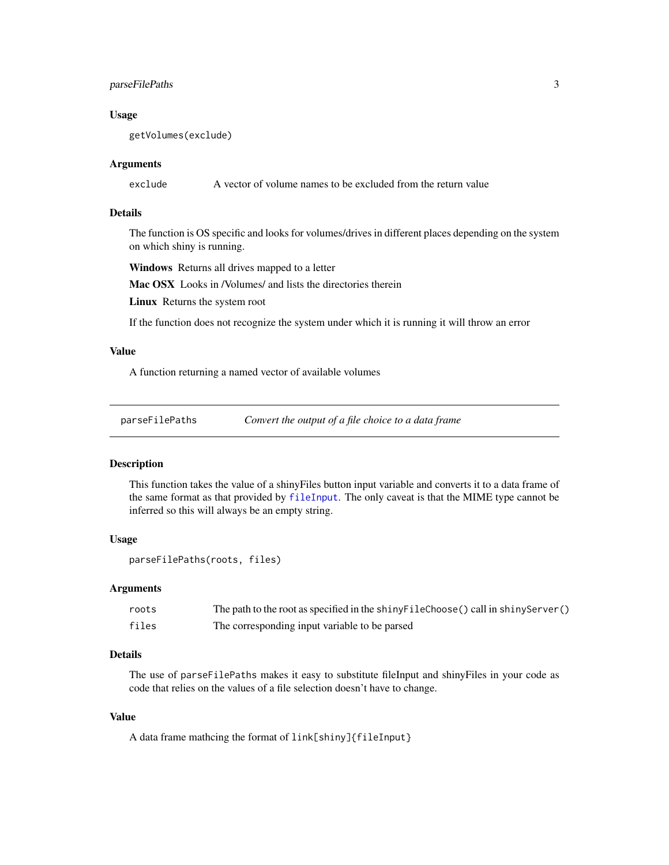# <span id="page-2-0"></span>parseFilePaths 3

#### Usage

getVolumes(exclude)

#### Arguments

exclude A vector of volume names to be excluded from the return value

# Details

The function is OS specific and looks for volumes/drives in different places depending on the system on which shiny is running.

Windows Returns all drives mapped to a letter

Mac OSX Looks in /Volumes/ and lists the directories therein

Linux Returns the system root

If the function does not recognize the system under which it is running it will throw an error

#### Value

A function returning a named vector of available volumes

<span id="page-2-1"></span>parseFilePaths *Convert the output of a file choice to a data frame*

#### Description

This function takes the value of a shinyFiles button input variable and converts it to a data frame of the same format as that provided by [fileInput](#page-0-0). The only caveat is that the MIME type cannot be inferred so this will always be an empty string.

#### Usage

parseFilePaths(roots, files)

# Arguments

| roots | The path to the root as specified in the shiny FileChoose () call in shiny Server () |
|-------|--------------------------------------------------------------------------------------|
| files | The corresponding input variable to be parsed                                        |

# Details

The use of parseFilePaths makes it easy to substitute fileInput and shinyFiles in your code as code that relies on the values of a file selection doesn't have to change.

# Value

A data frame mathcing the format of link[shiny]{fileInput}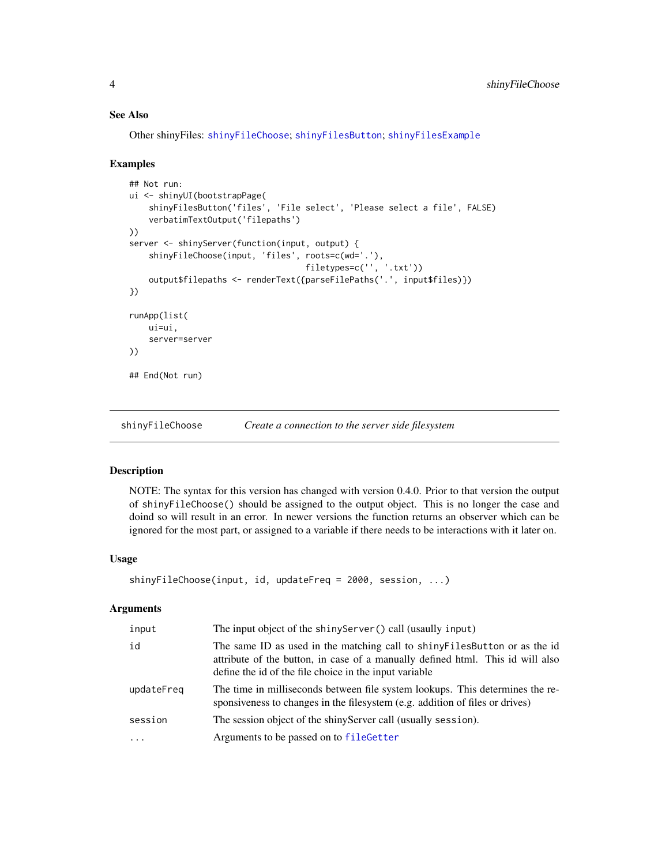# <span id="page-3-0"></span>See Also

Other shinyFiles: [shinyFileChoose](#page-3-1); [shinyFilesButton](#page-5-1); [shinyFilesExample](#page-6-1)

#### Examples

```
## Not run:
ui <- shinyUI(bootstrapPage(
    shinyFilesButton('files', 'File select', 'Please select a file', FALSE)
    verbatimTextOutput('filepaths')
))
server <- shinyServer(function(input, output) {
    shinyFileChoose(input, 'files', roots=c(wd='.'),
                                    filetypes=c('', '.txt'))
    output$filepaths <- renderText({parseFilePaths('.', input$files)})
})
runApp(list(
    ui=ui,
    server=server
))
## End(Not run)
```
<span id="page-3-1"></span>shinyFileChoose *Create a connection to the server side filesystem*

# Description

NOTE: The syntax for this version has changed with version 0.4.0. Prior to that version the output of shinyFileChoose() should be assigned to the output object. This is no longer the case and doind so will result in an error. In newer versions the function returns an observer which can be ignored for the most part, or assigned to a variable if there needs to be interactions with it later on.

#### Usage

```
shinyFileChoose(input, id, updateFreq = 2000, session, ...)
```
#### Arguments

| input      | The input object of the shiny Server () call (usaully input)                                                                                                                                                            |
|------------|-------------------------------------------------------------------------------------------------------------------------------------------------------------------------------------------------------------------------|
| id         | The same ID as used in the matching call to shiny Files Button or as the id<br>attribute of the button, in case of a manually defined html. This id will also<br>define the id of the file choice in the input variable |
| updateFreq | The time in milliseconds between file system lookups. This determines the re-<br>sponsiveness to changes in the filesystem (e.g. addition of files or drives)                                                           |
| session    | The session object of the shiny Server call (usually session).                                                                                                                                                          |
| $\ddotsc$  | Arguments to be passed on to fileGetter                                                                                                                                                                                 |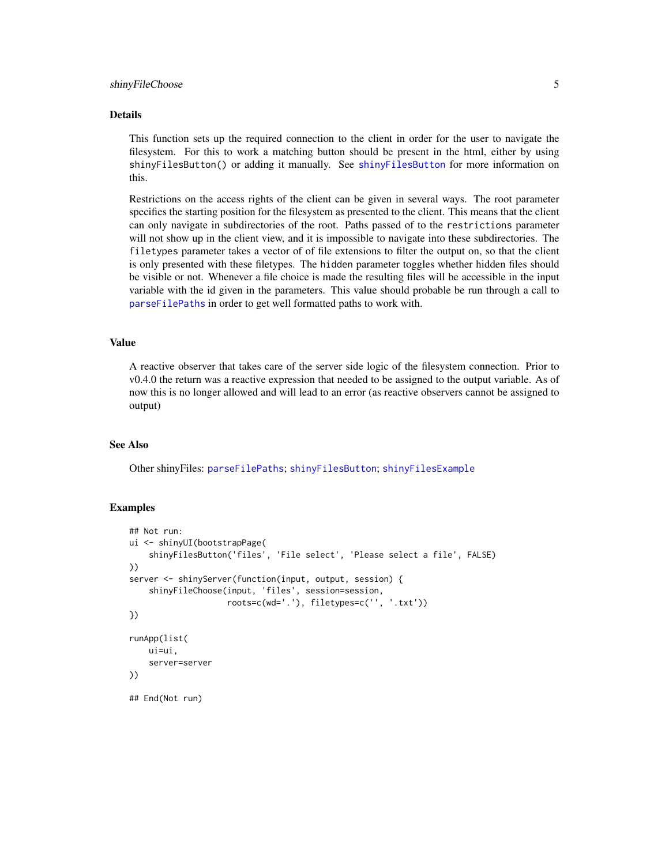# <span id="page-4-0"></span>shinyFileChoose 5

#### Details

This function sets up the required connection to the client in order for the user to navigate the filesystem. For this to work a matching button should be present in the html, either by using shinyFilesButton() or adding it manually. See [shinyFilesButton](#page-5-1) for more information on this.

Restrictions on the access rights of the client can be given in several ways. The root parameter specifies the starting position for the filesystem as presented to the client. This means that the client can only navigate in subdirectories of the root. Paths passed of to the restrictions parameter will not show up in the client view, and it is impossible to navigate into these subdirectories. The filetypes parameter takes a vector of of file extensions to filter the output on, so that the client is only presented with these filetypes. The hidden parameter toggles whether hidden files should be visible or not. Whenever a file choice is made the resulting files will be accessible in the input variable with the id given in the parameters. This value should probable be run through a call to [parseFilePaths](#page-2-1) in order to get well formatted paths to work with.

# Value

A reactive observer that takes care of the server side logic of the filesystem connection. Prior to v0.4.0 the return was a reactive expression that needed to be assigned to the output variable. As of now this is no longer allowed and will lead to an error (as reactive observers cannot be assigned to output)

# See Also

Other shinyFiles: [parseFilePaths](#page-2-1); [shinyFilesButton](#page-5-1); [shinyFilesExample](#page-6-1)

#### Examples

```
## Not run:
ui <- shinyUI(bootstrapPage(
    shinyFilesButton('files', 'File select', 'Please select a file', FALSE)
))
server <- shinyServer(function(input, output, session) {
    shinyFileChoose(input, 'files', session=session,
                    roots=c(wd='.'), filetypes=c('', '.txt'))
})
runApp(list(
   ui=ui,
    server=server
))
## End(Not run)
```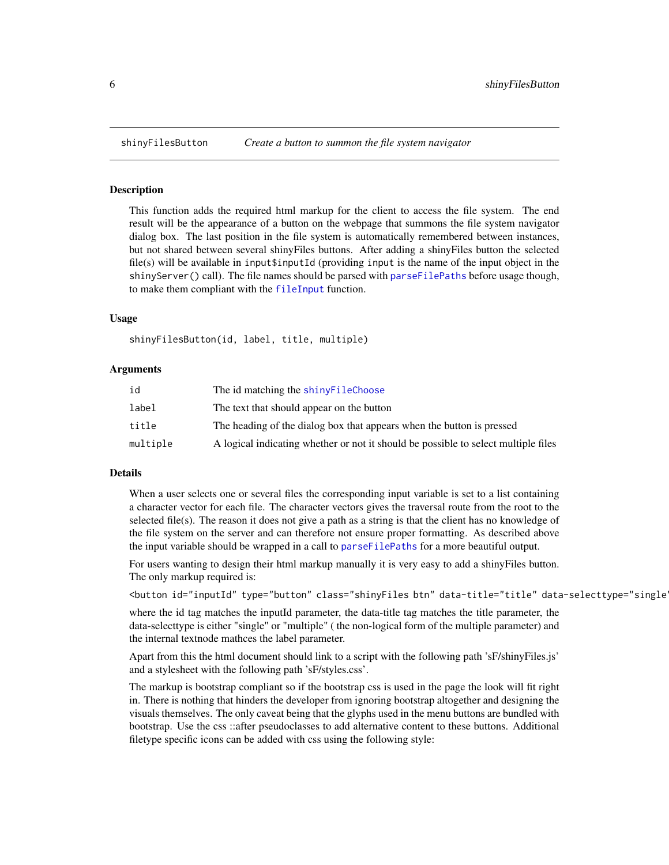<span id="page-5-1"></span><span id="page-5-0"></span>

#### Description

This function adds the required html markup for the client to access the file system. The end result will be the appearance of a button on the webpage that summons the file system navigator dialog box. The last position in the file system is automatically remembered between instances, but not shared between several shinyFiles buttons. After adding a shinyFiles button the selected file(s) will be available in input\$inputId (providing input is the name of the input object in the shinyServer() call). The file names should be parsed with [parseFilePaths](#page-2-1) before usage though, to make them compliant with the [fileInput](#page-0-0) function.

#### Usage

shinyFilesButton(id, label, title, multiple)

#### Arguments

| id       | The id matching the shiny File Choose                                              |
|----------|------------------------------------------------------------------------------------|
| label    | The text that should appear on the button                                          |
| title    | The heading of the dialog box that appears when the button is pressed              |
| multiple | A logical indicating whether or not it should be possible to select multiple files |

#### Details

When a user selects one or several files the corresponding input variable is set to a list containing a character vector for each file. The character vectors gives the traversal route from the root to the selected file(s). The reason it does not give a path as a string is that the client has no knowledge of the file system on the server and can therefore not ensure proper formatting. As described above the input variable should be wrapped in a call to [parseFilePaths](#page-2-1) for a more beautiful output.

For users wanting to design their html markup manually it is very easy to add a shinyFiles button. The only markup required is:

```
<button id="inputId" type="button" class="shinyFiles btn" data-title="title" data-selecttype="single
```
where the id tag matches the inputId parameter, the data-title tag matches the title parameter, the data-selecttype is either "single" or "multiple" ( the non-logical form of the multiple parameter) and the internal textnode mathces the label parameter.

Apart from this the html document should link to a script with the following path 'sF/shinyFiles.js' and a stylesheet with the following path 'sF/styles.css'.

The markup is bootstrap compliant so if the bootstrap css is used in the page the look will fit right in. There is nothing that hinders the developer from ignoring bootstrap altogether and designing the visuals themselves. The only caveat being that the glyphs used in the menu buttons are bundled with bootstrap. Use the css ::after pseudoclasses to add alternative content to these buttons. Additional filetype specific icons can be added with css using the following style: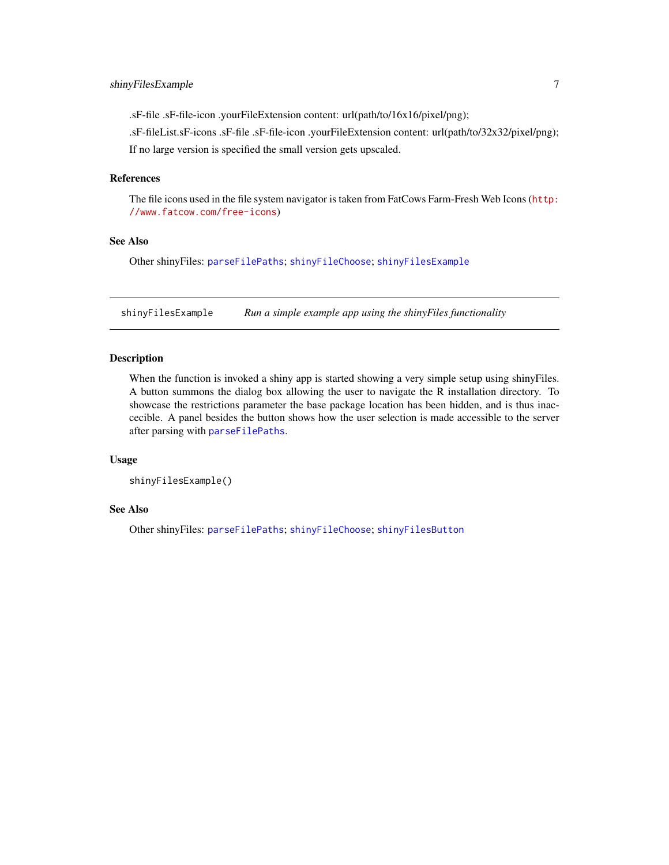<span id="page-6-0"></span>.sF-file .sF-file-icon .yourFileExtension content: url(path/to/16x16/pixel/png);

.sF-fileList.sF-icons .sF-file .sF-file-icon .yourFileExtension content: url(path/to/32x32/pixel/png); If no large version is specified the small version gets upscaled.

#### References

The file icons used in the file system navigator is taken from FatCows Farm-Fresh Web Icons ([http:](http://www.fatcow.com/free-icons) [//www.fatcow.com/free-icons](http://www.fatcow.com/free-icons))

# See Also

Other shinyFiles: [parseFilePaths](#page-2-1); [shinyFileChoose](#page-3-1); [shinyFilesExample](#page-6-1)

<span id="page-6-1"></span>shinyFilesExample *Run a simple example app using the shinyFiles functionality*

# Description

When the function is invoked a shiny app is started showing a very simple setup using shinyFiles. A button summons the dialog box allowing the user to navigate the R installation directory. To showcase the restrictions parameter the base package location has been hidden, and is thus inaccecible. A panel besides the button shows how the user selection is made accessible to the server after parsing with [parseFilePaths](#page-2-1).

#### Usage

```
shinyFilesExample()
```
#### See Also

Other shinyFiles: [parseFilePaths](#page-2-1); [shinyFileChoose](#page-3-1); [shinyFilesButton](#page-5-1)